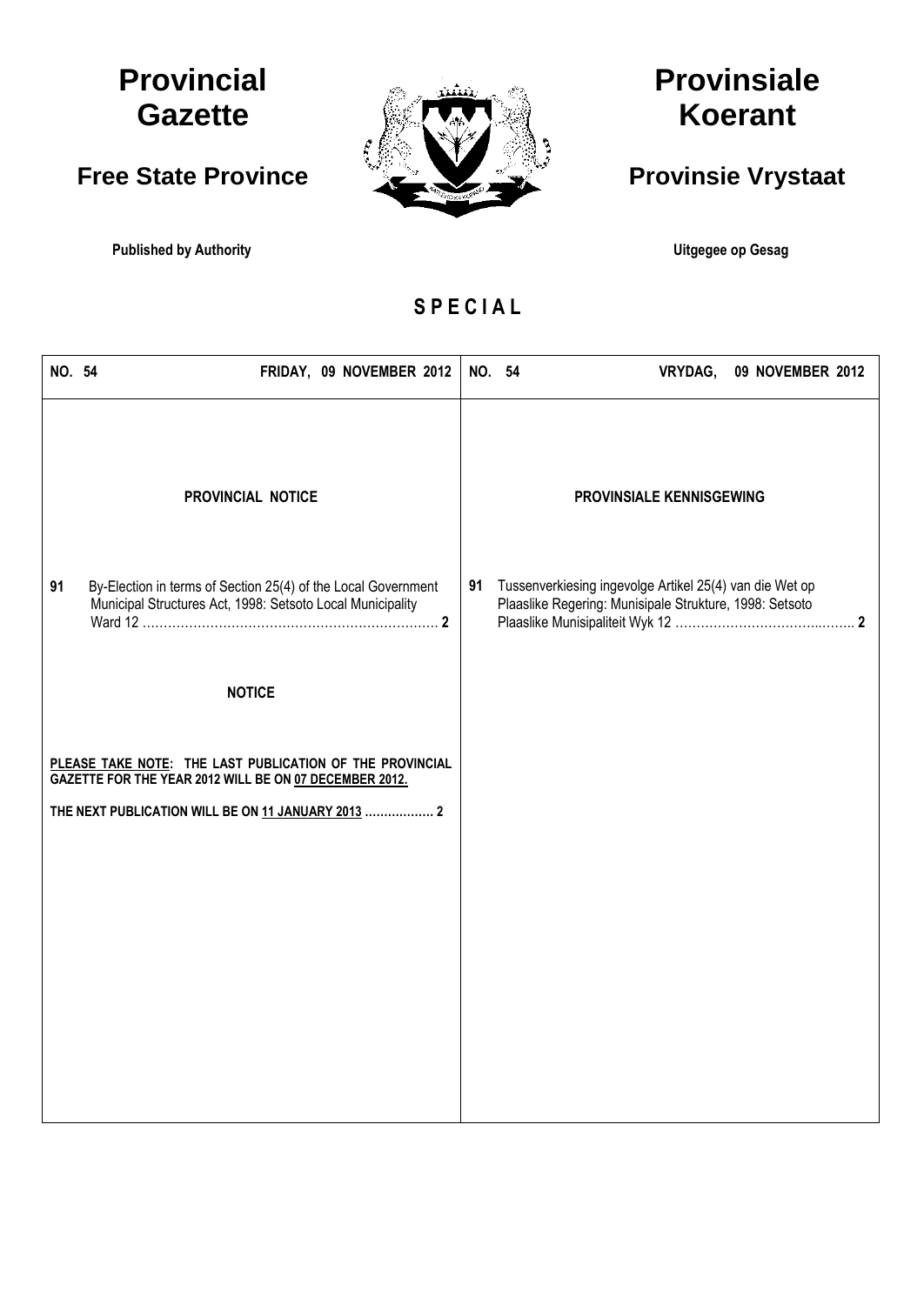## **Provincial Gazette**

### **Free State Province**

**Published by Authority Community Community Community Community Community Community Community Community Community** 



# **Provinsiale Koerant**

## **Provinsie Vrystaat**

**S P E C I A L**

| NO. 54 | FRIDAY, 09 NOVEMBER 2012                                                                                                                                                 |    | NO. 54<br>VRYDAG,<br>09 NOVEMBER 2012                                                                              |
|--------|--------------------------------------------------------------------------------------------------------------------------------------------------------------------------|----|--------------------------------------------------------------------------------------------------------------------|
|        | PROVINCIAL NOTICE                                                                                                                                                        |    | PROVINSIALE KENNISGEWING                                                                                           |
| 91     | By-Election in terms of Section 25(4) of the Local Government<br>Municipal Structures Act, 1998: Setsoto Local Municipality                                              | 91 | Tussenverkiesing ingevolge Artikel 25(4) van die Wet op<br>Plaaslike Regering: Munisipale Strukture, 1998: Setsoto |
|        | <b>NOTICE</b>                                                                                                                                                            |    |                                                                                                                    |
|        | PLEASE TAKE NOTE: THE LAST PUBLICATION OF THE PROVINCIAL<br>GAZETTE FOR THE YEAR 2012 WILL BE ON 07 DECEMBER 2012.<br>THE NEXT PUBLICATION WILL BE ON 11 JANUARY 2013  2 |    |                                                                                                                    |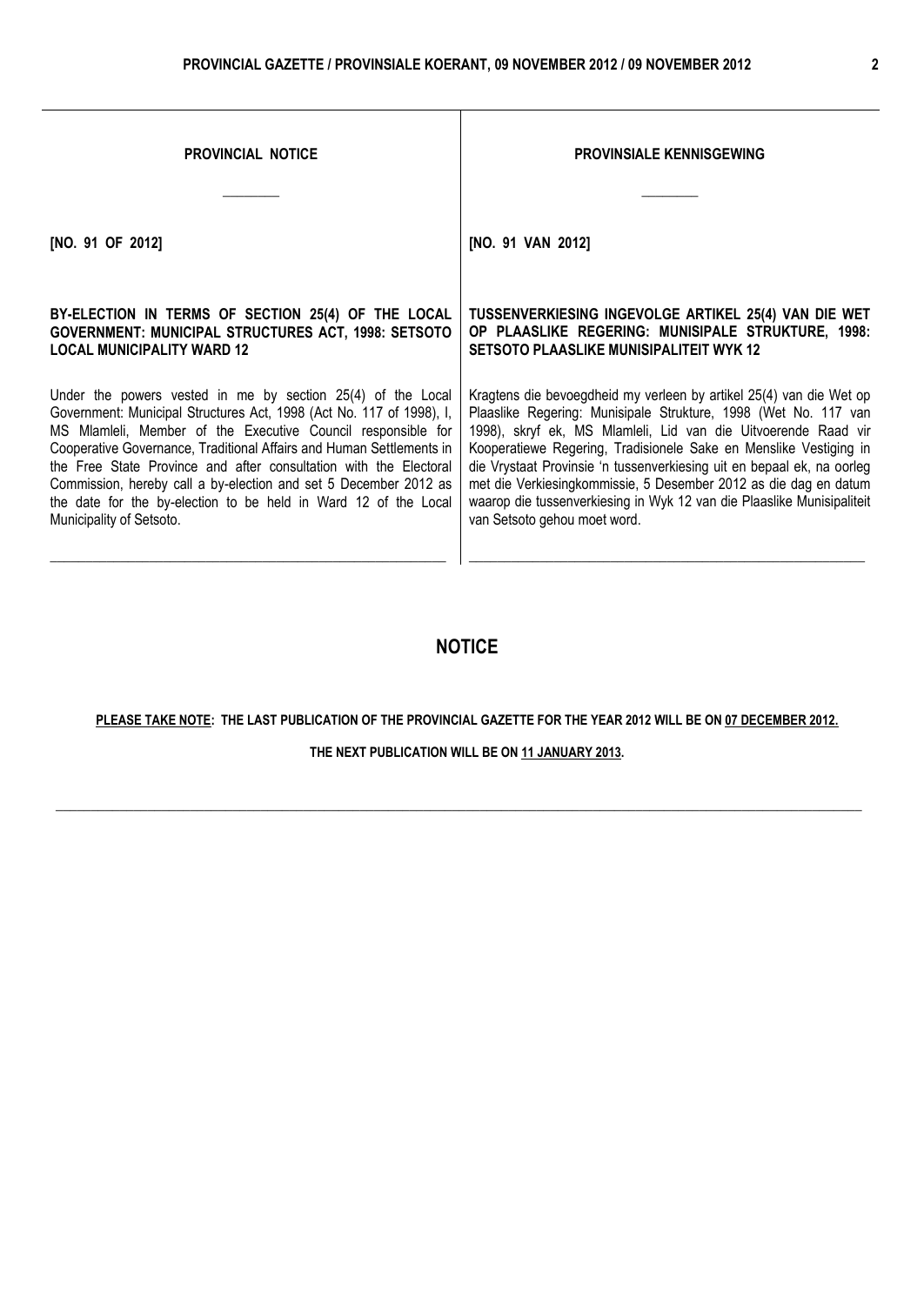| <b>PROVINCIAL NOTICE</b>                                             | <b>PROVINSIALE KENNISGEWING</b>                                        |  |  |
|----------------------------------------------------------------------|------------------------------------------------------------------------|--|--|
| [NO. 91 OF 2012]                                                     | [NO. 91 VAN 2012]                                                      |  |  |
| BY-ELECTION IN TERMS OF SECTION 25(4) OF THE LOCAL                   | TUSSENVERKIESING INGEVOLGE ARTIKEL 25(4) VAN DIE WET                   |  |  |
| <b>GOVERNMENT: MUNICIPAL STRUCTURES ACT, 1998: SETSOTO</b>           | OP PLAASLIKE REGERING: MUNISIPALE STRUKTURE, 1998:                     |  |  |
| <b>LOCAL MUNICIPALITY WARD 12</b>                                    | <b>SETSOTO PLAASLIKE MUNISIPALITEIT WYK 12</b>                         |  |  |
| Under the powers vested in me by section 25(4) of the Local          | Kragtens die bevoegdheid my verleen by artikel 25(4) van die Wet op    |  |  |
| Government: Municipal Structures Act, 1998 (Act No. 117 of 1998), I, | Plaaslike Regering: Munisipale Strukture, 1998 (Wet No. 117 van        |  |  |
| MS Mlamleli, Member of the Executive Council responsible for         | 1998), skryf ek, MS Mlamleli, Lid van die Uitvoerende Raad vir         |  |  |
| Cooperative Governance, Traditional Affairs and Human Settlements in | Kooperatiewe Regering, Tradisionele Sake en Menslike Vestiging in      |  |  |
| the Free State Province and after consultation with the Electoral    | die Vrystaat Provinsie 'n tussenverkiesing uit en bepaal ek, na oorleg |  |  |
| Commission, hereby call a by-election and set 5 December 2012 as     | met die Verkiesingkommissie, 5 Desember 2012 as die dag en datum       |  |  |
| the date for the by-election to be held in Ward 12 of the Local      | waarop die tussenverkiesing in Wyk 12 van die Plaaslike Munisipaliteit |  |  |
| Municipality of Setsoto.                                             | van Setsoto gehou moet word.                                           |  |  |

#### **NOTICE**

#### **PLEASE TAKE NOTE: THE LAST PUBLICATION OF THE PROVINCIAL GAZETTE FOR THE YEAR 2012 WILL BE ON 07 DECEMBER 2012.**

#### **THE NEXT PUBLICATION WILL BE ON 11 JANUARY 2013.**

 $\_$  , and the set of the set of the set of the set of the set of the set of the set of the set of the set of the set of the set of the set of the set of the set of the set of the set of the set of the set of the set of th